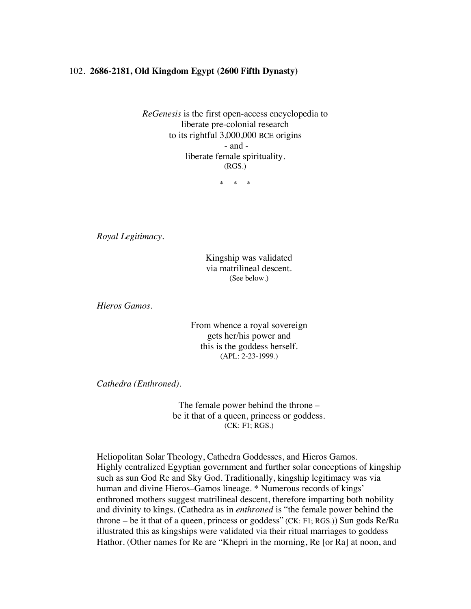## 102. **2686-2181, Old Kingdom Egypt (2600 Fifth Dynasty)**

*ReGenesis* is the first open-access encyclopedia to liberate pre-colonial research to its rightful 3,000,000 BCE origins - and liberate female spirituality. (RGS.)

\* \* \*

*Royal Legitimacy.*

Kingship was validated via matrilineal descent. (See below.)

*Hieros Gamos.*

From whence a royal sovereign gets her/his power and this is the goddess herself. (APL: 2-23-1999.)

*Cathedra (Enthroned).*

The female power behind the throne – be it that of a queen, princess or goddess. (CK: F1; RGS.)

Heliopolitan Solar Theology, Cathedra Goddesses, and Hieros Gamos. Highly centralized Egyptian government and further solar conceptions of kingship such as sun God Re and Sky God. Traditionally, kingship legitimacy was via human and divine Hieros–Gamos lineage. \* Numerous records of kings' enthroned mothers suggest matrilineal descent, therefore imparting both nobility and divinity to kings. (Cathedra as in *enthroned* is "the female power behind the throne – be it that of a queen, princess or goddess" (CK: F1; RGS.)) Sun gods Re/Ra illustrated this as kingships were validated via their ritual marriages to goddess Hathor. (Other names for Re are "Khepri in the morning, Re [or Ra] at noon, and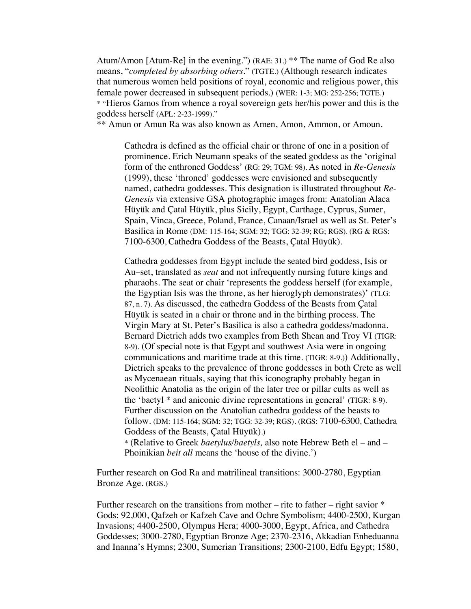Atum/Amon [Atum-Re] in the evening.") (RAE: 31.) \*\* The name of God Re also means, "*completed by absorbing others*." (TGTE.) (Although research indicates that numerous women held positions of royal, economic and religious power, this female power decreased in subsequent periods.) (WER: 1-3; MG: 252-256; TGTE.) \* "Hieros Gamos from whence a royal sovereign gets her/his power and this is the goddess herself (APL: 2-23-1999)."

\*\* Amun or Amun Ra was also known as Amen, Amon, Ammon, or Amoun.

Cathedra is defined as the official chair or throne of one in a position of prominence. Erich Neumann speaks of the seated goddess as the 'original form of the enthroned Goddess' (RG: 29; TGM: 98). As noted in *Re-Genesis* (1999), these 'throned' goddesses were envisioned and subsequently named, cathedra goddesses. This designation is illustrated throughout *Re-Genesis* via extensive GSA photographic images from: Anatolian Alaca Hüyük and Çatal Hüyük, plus Sicily, Egypt, Carthage, Cyprus, Sumer, Spain, Vinca, Greece, Poland, France, Canaan/Israel as well as St. Peter's Basilica in Rome (DM: 115-164; SGM: 32; TGG: 32-39; RG; RGS). (RG & RGS: 7100-6300, Cathedra Goddess of the Beasts, Çatal Hüyük).

Cathedra goddesses from Egypt include the seated bird goddess, Isis or Au–set, translated as *seat* and not infrequently nursing future kings and pharaohs. The seat or chair 'represents the goddess herself (for example, the Egyptian Isis was the throne, as her hieroglyph demonstrates)' (TLG: 87, n. 7). As discussed, the cathedra Goddess of the Beasts from Çatal Hüyük is seated in a chair or throne and in the birthing process. The Virgin Mary at St. Peter's Basilica is also a cathedra goddess/madonna. Bernard Dietrich adds two examples from Beth Shean and Troy VI (TIGR: 8-9). (Of special note is that Egypt and southwest Asia were in ongoing communications and maritime trade at this time. (TIGR: 8-9.)) Additionally, Dietrich speaks to the prevalence of throne goddesses in both Crete as well as Mycenaean rituals, saying that this iconography probably began in Neolithic Anatolia as the origin of the later tree or pillar cults as well as the 'baetyl \* and aniconic divine representations in general' (TIGR: 8-9). Further discussion on the Anatolian cathedra goddess of the beasts to follow. (DM: 115-164; SGM: 32; TGG: 32-39; RGS). (RGS: 7100-6300, Cathedra Goddess of the Beasts, Çatal Hüyük).)

\* (Relative to Greek *baetylus/baetyls,* also note Hebrew Beth el – and – Phoinikian *beit all* means the 'house of the divine.')

Further research on God Ra and matrilineal transitions: 3000-2780, Egyptian Bronze Age. (RGS.)

Further research on the transitions from mother – rite to father – right savior  $*$ Gods: 92,000, Qafzeh or Kafzeh Cave and Ochre Symbolism; 4400-2500, Kurgan Invasions; 4400-2500, Olympus Hera; 4000-3000, Egypt, Africa, and Cathedra Goddesses; 3000-2780, Egyptian Bronze Age; 2370-2316, Akkadian Enheduanna and Inanna's Hymns; 2300, Sumerian Transitions; 2300-2100, Edfu Egypt; 1580,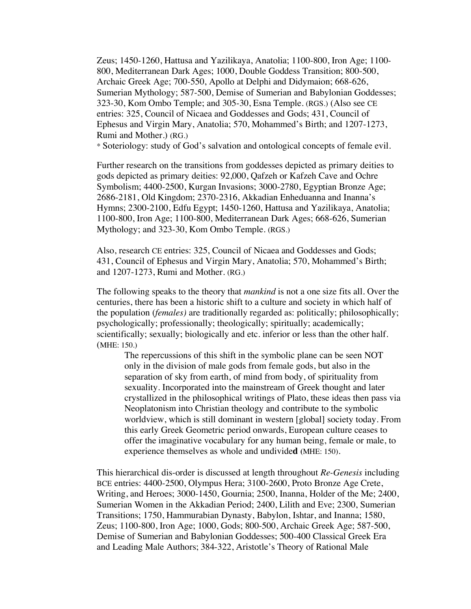Zeus; 1450-1260, Hattusa and Yazilikaya, Anatolia; 1100-800, Iron Age; 1100- 800, Mediterranean Dark Ages; 1000, Double Goddess Transition; 800-500, Archaic Greek Age; 700-550, Apollo at Delphi and Didymaion; 668-626, Sumerian Mythology; 587-500, Demise of Sumerian and Babylonian Goddesses; 323-30, Kom Ombo Temple; and 305-30, Esna Temple. (RGS.) (Also see CE entries: 325, Council of Nicaea and Goddesses and Gods; 431, Council of Ephesus and Virgin Mary, Anatolia; 570, Mohammed's Birth; and 1207-1273, Rumi and Mother.) (RG.)

\* Soteriology: study of God's salvation and ontological concepts of female evil.

Further research on the transitions from goddesses depicted as primary deities to gods depicted as primary deities: 92,000, Qafzeh or Kafzeh Cave and Ochre Symbolism; 4400-2500, Kurgan Invasions; 3000-2780, Egyptian Bronze Age; 2686-2181, Old Kingdom; 2370-2316, Akkadian Enheduanna and Inanna's Hymns; 2300-2100, Edfu Egypt; 1450-1260, Hattusa and Yazilikaya, Anatolia; 1100-800, Iron Age; 1100-800, Mediterranean Dark Ages; 668-626, Sumerian Mythology; and 323-30, Kom Ombo Temple. (RGS.)

Also, research CE entries: 325, Council of Nicaea and Goddesses and Gods; 431, Council of Ephesus and Virgin Mary, Anatolia; 570, Mohammed's Birth; and 1207-1273, Rumi and Mother. (RG.)

The following speaks to the theory that *mankind* is not a one size fits all. Over the centuries, there has been a historic shift to a culture and society in which half of the population (*females)* are traditionally regarded as: politically; philosophically; psychologically; professionally; theologically; spiritually; academically; scientifically; sexually; biologically and etc. inferior or less than the other half. (MHE: 150.)

The repercussions of this shift in the symbolic plane can be seen NOT only in the division of male gods from female gods, but also in the separation of sky from earth, of mind from body, of spirituality from sexuality. Incorporated into the mainstream of Greek thought and later crystallized in the philosophical writings of Plato, these ideas then pass via Neoplatonism into Christian theology and contribute to the symbolic worldview, which is still dominant in western [global] society today. From this early Greek Geometric period onwards, European culture ceases to offer the imaginative vocabulary for any human being, female or male, to experience themselves as whole and undivide**d (**MHE: 150).

This hierarchical dis-order is discussed at length throughout *Re-Genesis* including BCE entries: 4400-2500, Olympus Hera; 3100-2600, Proto Bronze Age Crete, Writing, and Heroes; 3000-1450, Gournia; 2500, Inanna, Holder of the Me; 2400, Sumerian Women in the Akkadian Period; 2400, Lilith and Eve; 2300, Sumerian Transitions; 1750, Hammurabian Dynasty, Babylon, Ishtar, and Inanna; 1580, Zeus; 1100-800, Iron Age; 1000, Gods; 800-500, Archaic Greek Age; 587-500, Demise of Sumerian and Babylonian Goddesses; 500-400 Classical Greek Era and Leading Male Authors; 384-322, Aristotle's Theory of Rational Male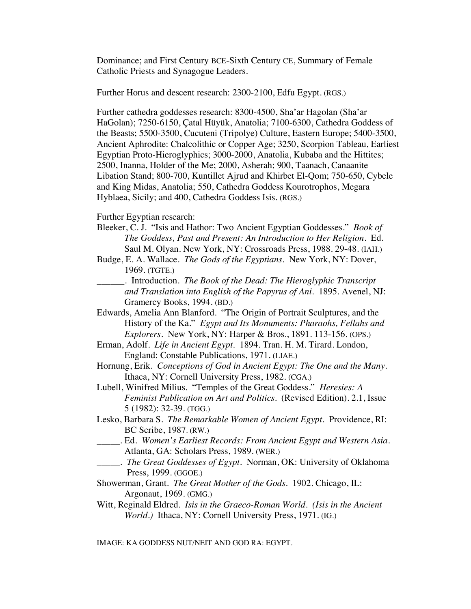Dominance; and First Century BCE-Sixth Century CE, Summary of Female Catholic Priests and Synagogue Leaders.

Further Horus and descent research: 2300-2100, Edfu Egypt. (RGS.)

Further cathedra goddesses research: 8300-4500, Sha'ar Hagolan (Sha'ar HaGolan); 7250-6150, Çatal Hüyük, Anatolia; 7100-6300, Cathedra Goddess of the Beasts; 5500-3500, Cucuteni (Tripolye) Culture, Eastern Europe; 5400-3500, Ancient Aphrodite: Chalcolithic or Copper Age; 3250, Scorpion Tableau, Earliest Egyptian Proto-Hieroglyphics; 3000-2000, Anatolia, Kubaba and the Hittites; 2500, Inanna, Holder of the Me; 2000, Asherah; 900, Taanach, Canaanite Libation Stand; 800-700, Kuntillet Ajrud and Khirbet El-Qom; 750-650, Cybele and King Midas, Anatolia; 550, Cathedra Goddess Kourotrophos, Megara Hyblaea, Sicily; and 400, Cathedra Goddess Isis. (RGS.)

Further Egyptian research:

- Bleeker, C. J. "Isis and Hathor: Two Ancient Egyptian Goddesses." *Book of The Goddess, Past and Present: An Introduction to Her Religion.* Ed. Saul M. Olyan. New York, NY: Crossroads Press, 1988. 29-48. (IAH.)
- Budge, E. A. Wallace. *The Gods of the Egyptians.* New York, NY: Dover, 1969. (TGTE.)
- \_\_\_\_\_\_. Introduction. *The Book of the Dead: The Hieroglyphic Transcript and Translation into English of the Papyrus of Ani*. 1895. Avenel, NJ: Gramercy Books, 1994. (BD.)
- Edwards, Amelia Ann Blanford. "The Origin of Portrait Sculptures, and the History of the Ka." *Egypt and Its Monuments: Pharaohs, Fellahs and Explorers*. New York, NY: Harper & Bros., 1891. 113-156. (OPS.)
- Erman, Adolf. *Life in Ancient Egypt.* 1894. Tran. H. M. Tirard. London, England: Constable Publications, 1971. (LIAE.)
- Hornung, Erik. *Conceptions of God in Ancient Egypt: The One and the Many*. Ithaca, NY: Cornell University Press, 1982. (CGA.)
- Lubell, Winifred Milius. "Temples of the Great Goddess." *Heresies: A Feminist Publication on Art and Politics.* (Revised Edition). 2.1, Issue 5 (1982): 32-39. (TGG.)
- Lesko, Barbara S. *The Remarkable Women of Ancient Egypt*. Providence, RI: BC Scribe, 1987. (RW.)
- \_\_\_\_\_. Ed. *Women's Earliest Records: From Ancient Egypt and Western Asia*. Atlanta, GA: Scholars Press, 1989. (WER.)
- \_\_\_\_\_. *The Great Goddesses of Egypt*. Norman, OK: University of Oklahoma Press, 1999. (GGOE.)
- Showerman, Grant. *The Great Mother of the Gods*. 1902. Chicago, IL: Argonaut, 1969. (GMG.)
- Witt, Reginald Eldred. *Isis in the Graeco-Roman World*. *(Isis in the Ancient World.)* Ithaca, NY: Cornell University Press, 1971. (IG.)

IMAGE: KA GODDESS NUT/NEIT AND GOD RA: EGYPT.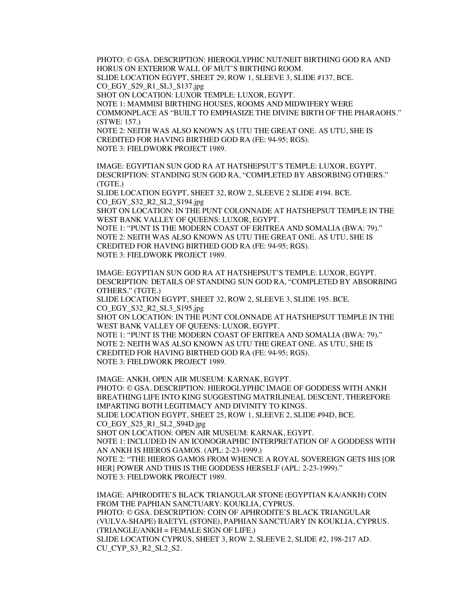PHOTO: © GSA. DESCRIPTION: HIEROGLYPHIC NUT/NEIT BIRTHING GOD RA AND HORUS ON EXTERIOR WALL OF MUT'S BIRTHING ROOM. SLIDE LOCATION EGYPT, SHEET 29, ROW 1, SLEEVE 3, SLIDE #137, BCE. CO\_EGY\_S29\_R1\_SL3\_S137.jpg SHOT ON LOCATION: LUXOR TEMPLE: LUXOR, EGYPT. NOTE 1: MAMMISI BIRTHING HOUSES, ROOMS AND MIDWIFERY WERE COMMONPLACE AS "BUILT TO EMPHASIZE THE DIVINE BIRTH OF THE PHARAOHS."

(STWE: 157.) NOTE 2: NEITH WAS ALSO KNOWN AS UTU THE GREAT ONE. AS UTU, SHE IS CREDITED FOR HAVING BIRTHED GOD RA (FE: 94-95; RGS).

NOTE 3: FIELDWORK PROJECT 1989.

IMAGE: EGYPTIAN SUN GOD RA AT HATSHEPSUT'S TEMPLE: LUXOR, EGYPT. DESCRIPTION: STANDING SUN GOD RA, "COMPLETED BY ABSORBING OTHERS." (TGTE.)

SLIDE LOCATION EGYPT, SHEET 32, ROW 2, SLEEVE 2 SLIDE #194. BCE. CO\_EGY\_S32\_R2\_SL2\_S194.jpg

SHOT ON LOCATION: IN THE PUNT COLONNADE AT HATSHEPSUT TEMPLE IN THE WEST BANK VALLEY OF QUEENS: LUXOR, EGYPT.

NOTE 1: "PUNT IS THE MODERN COAST OF ERITREA AND SOMALIA (BWA: 79)." NOTE 2: NEITH WAS ALSO KNOWN AS UTU THE GREAT ONE. AS UTU, SHE IS CREDITED FOR HAVING BIRTHED GOD RA (FE: 94-95; RGS). NOTE 3: FIELDWORK PROJECT 1989.

IMAGE: EGYPTIAN SUN GOD RA AT HATSHEPSUT'S TEMPLE: LUXOR, EGYPT. DESCRIPTION: DETAILS OF STANDING SUN GOD RA, "COMPLETED BY ABSORBING OTHERS." (TGTE.)

SLIDE LOCATION EGYPT, SHEET 32, ROW 2, SLEEVE 3, SLIDE 195. BCE. CO\_EGY\_S32\_R2\_SL3\_S195.jpg

SHOT ON LOCATION: IN THE PUNT COLONNADE AT HATSHEPSUT TEMPLE IN THE WEST BANK VALLEY OF QUEENS: LUXOR, EGYPT.

NOTE 1: "PUNT IS THE MODERN COAST OF ERITREA AND SOMALIA (BWA: 79)." NOTE 2: NEITH WAS ALSO KNOWN AS UTU THE GREAT ONE. AS UTU, SHE IS CREDITED FOR HAVING BIRTHED GOD RA (FE: 94-95; RGS). NOTE 3: FIELDWORK PROJECT 1989.

IMAGE: ANKH, OPEN AIR MUSEUM: KARNAK, EGYPT. PHOTO: © GSA. DESCRIPTION: HIEROGLYPHIC IMAGE OF GODDESS WITH ANKH BREATHING LIFE INTO KING SUGGESTING MATRILINEAL DESCENT, THEREFORE IMPARTING BOTH LEGITIMACY AND DIVINITY TO KINGS. SLIDE LOCATION EGYPT, SHEET 25, ROW 1, SLEEVE 2, SLIDE #94D, BCE. CO\_EGY\_S25\_R1\_SL2\_S94D.jpg SHOT ON LOCATION: OPEN AIR MUSEUM: KARNAK, EGYPT. NOTE 1: INCLUDED IN AN ICONOGRAPHIC INTERPRETATION OF A GODDESS WITH AN ANKH IS HIEROS GAMOS. (APL: 2-23-1999.) NOTE 2: "THE HIEROS GAMOS FROM WHENCE A ROYAL SOVEREIGN GETS HIS [OR HER] POWER AND THIS IS THE GODDESS HERSELF (APL: 2-23-1999)." NOTE 3: FIELDWORK PROJECT 1989.

IMAGE: APHRODITE'S BLACK TRIANGULAR STONE (EGYPTIAN KA/ANKH) COIN FROM THE PAPHIAN SANCTUARY: KOUKLIA, CYPRUS. PHOTO: © GSA. DESCRIPTION: COIN OF APHRODITE'S BLACK TRIANGULAR (VULVA-SHAPE) BAETYL **(**STONE), PAPHIAN SANCTUARY IN KOUKLIA, CYPRUS.  $(TRIANGE/ANKH = FEMALE SIGN OF LIFE.)$ SLIDE LOCATION CYPRUS, SHEET 3, ROW 2, SLEEVE 2, SLIDE #2, 198-217 AD. CU\_CYP\_S3\_R2\_SL2\_S2.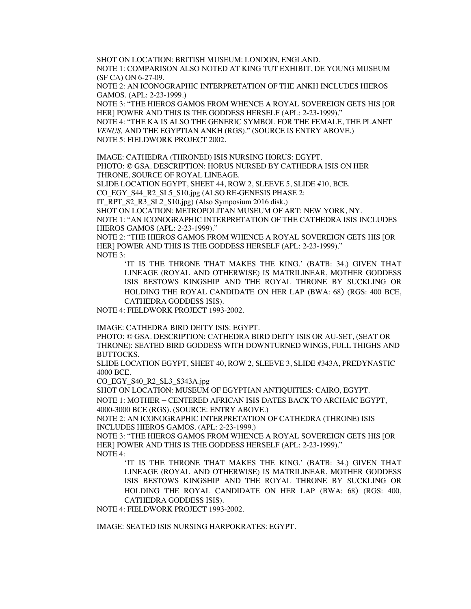SHOT ON LOCATION: BRITISH MUSEUM: LONDON, ENGLAND. NOTE 1: COMPARISON ALSO NOTED AT KING TUT EXHIBIT, DE YOUNG MUSEUM (SF CA) ON 6-27-09.

NOTE 2: AN ICONOGRAPHIC INTERPRETATION OF THE ANKH INCLUDES HIEROS GAMOS. (APL: 2-23-1999.)

NOTE 3: "THE HIEROS GAMOS FROM WHENCE A ROYAL SOVEREIGN GETS HIS [OR HER] POWER AND THIS IS THE GODDESS HERSELF (APL: 2-23-1999)." NOTE 4: "THE KA IS ALSO THE GENERIC SYMBOL FOR THE FEMALE, THE PLANET *VENUS,* AND THE EGYPTIAN ANKH (RGS)." (SOURCE IS ENTRY ABOVE.)

NOTE 5: FIELDWORK PROJECT 2002.

IMAGE: CATHEDRA (THRONED) ISIS NURSING HORUS: EGYPT.

PHOTO: © GSA. DESCRIPTION: HORUS NURSED BY CATHEDRA ISIS ON HER THRONE, SOURCE OF ROYAL LINEAGE.

SLIDE LOCATION EGYPT, SHEET 44, ROW 2, SLEEVE 5, SLIDE #10, BCE.

CO\_EGY\_S44\_R2\_SL5\_S10.jpg (ALSO RE-GENESIS PHASE 2:

IT\_RPT\_S2\_R3\_SL2\_S10.jpg) (Also Symposium 2016 disk.)

SHOT ON LOCATION: METROPOLITAN MUSEUM OF ART: NEW YORK, NY.

NOTE 1: "AN ICONOGRAPHIC INTERPRETATION OF THE CATHEDRA ISIS INCLUDES HIEROS GAMOS (APL: 2-23-1999)."

NOTE 2: "THE HIEROS GAMOS FROM WHENCE A ROYAL SOVEREIGN GETS HIS [OR HER] POWER AND THIS IS THE GODDESS HERSELF (APL: 2-23-1999)." NOTE 3:

'IT IS THE THRONE THAT MAKES THE KING.' (BATB: 34.) GIVEN THAT LINEAGE (ROYAL AND OTHERWISE) IS MATRILINEAR, MOTHER GODDESS ISIS BESTOWS KINGSHIP AND THE ROYAL THRONE BY SUCKLING OR HOLDING THE ROYAL CANDIDATE ON HER LAP (BWA: 68) (RGS: 400 BCE, CATHEDRA GODDESS ISIS).

NOTE 4: FIELDWORK PROJECT 1993-2002.

IMAGE: CATHEDRA BIRD DEITY ISIS: EGYPT.

PHOTO: © GSA. DESCRIPTION: CATHEDRA BIRD DEITY ISIS OR AU-SET, (SEAT OR THRONE): SEATED BIRD GODDESS WITH DOWNTURNED WINGS, FULL THIGHS AND BUTTOCKS.

SLIDE LOCATION EGYPT, SHEET 40, ROW 2, SLEEVE 3, SLIDE #343A, PREDYNASTIC 4000 BCE.

CO\_EGY\_S40\_R2\_SL3\_S343A.jpg

SHOT ON LOCATION: MUSEUM OF EGYPTIAN ANTIQUITIES: CAIRO, EGYPT.

NOTE 1: MOTHER – CENTERED AFRICAN ISIS DATES BACK TO ARCHAIC EGYPT, 4000-3000 BCE (RGS). (SOURCE: ENTRY ABOVE.)

NOTE 2: AN ICONOGRAPHIC INTERPRETATION OF CATHEDRA (THRONE) ISIS INCLUDES HIEROS GAMOS. (APL: 2-23-1999.)

NOTE 3: "THE HIEROS GAMOS FROM WHENCE A ROYAL SOVEREIGN GETS HIS [OR HER] POWER AND THIS IS THE GODDESS HERSELF (APL: 2-23-1999)." NOTE 4:

'IT IS THE THRONE THAT MAKES THE KING.' (BATB: 34.) GIVEN THAT LINEAGE (ROYAL AND OTHERWISE) IS MATRILINEAR, MOTHER GODDESS ISIS BESTOWS KINGSHIP AND THE ROYAL THRONE BY SUCKLING OR HOLDING THE ROYAL CANDIDATE ON HER LAP (BWA: 68) (RGS: 400, CATHEDRA GODDESS ISIS).

NOTE 4: FIELDWORK PROJECT 1993-2002.

IMAGE: SEATED ISIS NURSING HARPOKRATES: EGYPT.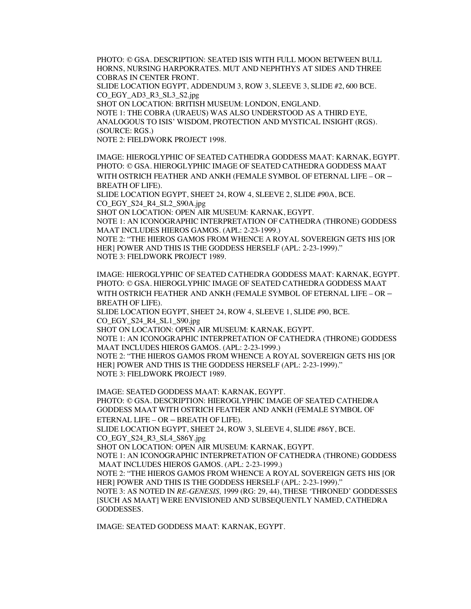PHOTO: © GSA. DESCRIPTION: SEATED ISIS WITH FULL MOON BETWEEN BULL HORNS, NURSING HARPOKRATES. MUT AND NEPHTHYS AT SIDES AND THREE COBRAS IN CENTER FRONT.

SLIDE LOCATION EGYPT, ADDENDUM 3, ROW 3, SLEEVE 3, SLIDE #2, 600 BCE. CO\_EGY\_AD3\_R3\_SL3\_S2.jpg

SHOT ON LOCATION: BRITISH MUSEUM: LONDON, ENGLAND. NOTE 1: THE COBRA (URAEUS) WAS ALSO UNDERSTOOD AS A THIRD EYE, ANALOGOUS TO ISIS' WISDOM, PROTECTION AND MYSTICAL INSIGHT (RGS). (SOURCE: RGS.)

NOTE 2: FIELDWORK PROJECT 1998.

IMAGE: HIEROGLYPHIC OF SEATED CATHEDRA GODDESS MAAT: KARNAK, EGYPT. PHOTO: © GSA. HIEROGLYPHIC IMAGE OF SEATED CATHEDRA GODDESS MAAT WITH OSTRICH FEATHER AND ANKH (FEMALE SYMBOL OF ETERNAL LIFE – OR – BREATH OF LIFE).

SLIDE LOCATION EGYPT, SHEET 24, ROW 4, SLEEVE 2, SLIDE #90A, BCE. CO\_EGY\_S24\_R4\_SL2\_S90A.jpg

SHOT ON LOCATION: OPEN AIR MUSEUM: KARNAK, EGYPT. NOTE 1: AN ICONOGRAPHIC INTERPRETATION OF CATHEDRA (THRONE) GODDESS MAAT INCLUDES HIEROS GAMOS. (APL: 2-23-1999.) NOTE 2: "THE HIEROS GAMOS FROM WHENCE A ROYAL SOVEREIGN GETS HIS [OR HER] POWER AND THIS IS THE GODDESS HERSELF (APL: 2-23-1999)."

NOTE 3: FIELDWORK PROJECT 1989.

IMAGE: HIEROGLYPHIC OF SEATED CATHEDRA GODDESS MAAT: KARNAK, EGYPT. PHOTO: © GSA. HIEROGLYPHIC IMAGE OF SEATED CATHEDRA GODDESS MAAT WITH OSTRICH FEATHER AND ANKH (FEMALE SYMBOL OF ETERNAL LIFE – OR – BREATH OF LIFE).

SLIDE LOCATION EGYPT, SHEET 24, ROW 4, SLEEVE 1, SLIDE #90, BCE. CO\_EGY\_S24\_R4\_SL1\_S90.jpg

SHOT ON LOCATION: OPEN AIR MUSEUM: KARNAK, EGYPT.

NOTE 1: AN ICONOGRAPHIC INTERPRETATION OF CATHEDRA (THRONE) GODDESS MAAT INCLUDES HIEROS GAMOS. (APL: 2-23-1999.)

NOTE 2: "THE HIEROS GAMOS FROM WHENCE A ROYAL SOVEREIGN GETS HIS [OR HER] POWER AND THIS IS THE GODDESS HERSELF (APL: 2-23-1999)." NOTE 3: FIELDWORK PROJECT 1989.

IMAGE: SEATED GODDESS MAAT: KARNAK, EGYPT. PHOTO: © GSA. DESCRIPTION: HIEROGLYPHIC IMAGE OF SEATED CATHEDRA GODDESS MAAT WITH OSTRICH FEATHER AND ANKH (FEMALE SYMBOL OF ETERNAL LIFE – OR – BREATH OF LIFE). SLIDE LOCATION EGYPT, SHEET 24, ROW 3, SLEEVE 4, SLIDE #86Y, BCE. CO\_EGY\_S24\_R3\_SL4\_S86Y.jpg SHOT ON LOCATION: OPEN AIR MUSEUM: KARNAK, EGYPT. NOTE 1: AN ICONOGRAPHIC INTERPRETATION OF CATHEDRA (THRONE) GODDESS MAAT INCLUDES HIEROS GAMOS. (APL: 2-23-1999.) NOTE 2: "THE HIEROS GAMOS FROM WHENCE A ROYAL SOVEREIGN GETS HIS [OR HER] POWER AND THIS IS THE GODDESS HERSELF (APL: 2-23-1999)." NOTE 3: AS NOTED IN *RE-GENESIS,* 1999 (RG: 29, 44), THESE 'THRONED' GODDESSES [SUCH AS MAAT] WERE ENVISIONED AND SUBSEQUENTLY NAMED, CATHEDRA

GODDESSES.

IMAGE: SEATED GODDESS MAAT: KARNAK, EGYPT.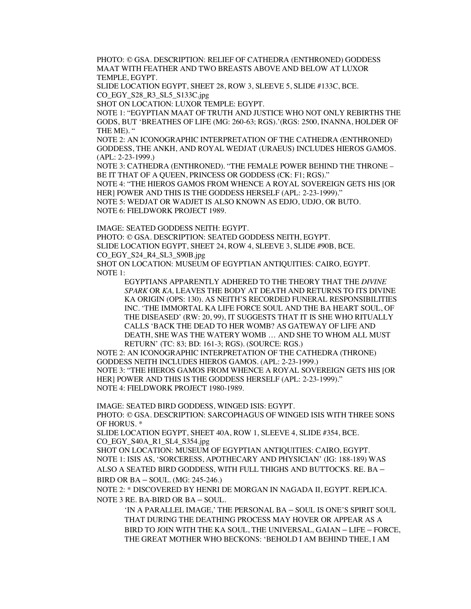PHOTO: © GSA. DESCRIPTION: RELIEF OF CATHEDRA (ENTHRONED) GODDESS MAAT WITH FEATHER AND TWO BREASTS ABOVE AND BELOW AT LUXOR TEMPLE, EGYPT.

SLIDE LOCATION EGYPT, SHEET 28, ROW 3, SLEEVE 5, SLIDE #133C, BCE. CO\_EGY\_S28\_R3\_SL5\_S133C.jpg

SHOT ON LOCATION: LUXOR TEMPLE: EGYPT.

NOTE 1: "EGYPTIAN MAAT OF TRUTH AND JUSTICE WHO NOT ONLY REBIRTHS THE GODS, BUT 'BREATHES OF LIFE (MG: 260-63; RGS).'(RGS: 2500, INANNA, HOLDER OF THE ME). "

NOTE 2: AN ICONOGRAPHIC INTERPRETATION OF THE CATHEDRA (ENTHRONED) GODDESS, THE ANKH, AND ROYAL WEDJAT (URAEUS) INCLUDES HIEROS GAMOS. (APL: 2-23-1999.)

NOTE 3: CATHEDRA (ENTHRONED). "THE FEMALE POWER BEHIND THE THRONE – BE IT THAT OF A QUEEN, PRINCESS OR GODDESS (CK: F1; RGS)."

NOTE 4: "THE HIEROS GAMOS FROM WHENCE A ROYAL SOVEREIGN GETS HIS [OR HER] POWER AND THIS IS THE GODDESS HERSELF (APL: 2-23-1999)." NOTE 5: WEDJAT OR WADJET IS ALSO KNOWN AS EDJO, UDJO, OR BUTO.

NOTE 6: FIELDWORK PROJECT 1989.

IMAGE: SEATED GODDESS NEITH: EGYPT. PHOTO: © GSA. DESCRIPTION: SEATED GODDESS NEITH, EGYPT. SLIDE LOCATION EGYPT, SHEET 24, ROW 4, SLEEVE 3, SLIDE #90B, BCE. CO\_EGY\_S24\_R4\_SL3\_S90B.jpg SHOT ON LOCATION: MUSEUM OF EGYPTIAN ANTIQUITIES: CAIRO, EGYPT.

NOTE 1: EGYPTIANS APPARENTLY ADHERED TO THE THEORY THAT THE *DIVINE SPARK* OR *KA,* LEAVES THE BODY AT DEATH AND RETURNS TO ITS DIVINE KA ORIGIN (OPS: 130). AS NEITH'S RECORDED FUNERAL RESPONSIBILITIES INC. 'THE IMMORTAL KA LIFE FORCE SOUL AND THE BA HEART SOUL, OF THE DISEASED' (RW: 20, 99), IT SUGGESTS THAT IT IS SHE WHO RITUALLY CALLS 'BACK THE DEAD TO HER WOMB? AS GATEWAY OF LIFE AND DEATH, SHE WAS THE WATERY WOMB … AND SHE TO WHOM ALL MUST RETURN' (TC: 83; BD: 161-3; RGS). (SOURCE: RGS.)

NOTE 2: AN ICONOGRAPHIC INTERPRETATION OF THE CATHEDRA (THRONE) GODDESS NEITH INCLUDES HIEROS GAMOS. (APL: 2-23-1999.) NOTE 3: "THE HIEROS GAMOS FROM WHENCE A ROYAL SOVEREIGN GETS HIS [OR HER] POWER AND THIS IS THE GODDESS HERSELF (APL: 2-23-1999)." NOTE 4: FIELDWORK PROJECT 1980-1989.

IMAGE: SEATED BIRD GODDESS, WINGED ISIS: EGYPT.

PHOTO: © GSA. DESCRIPTION: SARCOPHAGUS OF WINGED ISIS WITH THREE SONS OF HORUS. \*

SLIDE LOCATION EGYPT, SHEET 40A, ROW 1, SLEEVE 4, SLIDE #354, BCE. CO\_EGY\_S40A\_R1\_SL4\_S354.jpg

SHOT ON LOCATION: MUSEUM OF EGYPTIAN ANTIQUITIES: CAIRO, EGYPT. NOTE 1: ISIS AS, 'SORCERESS, APOTHECARY AND PHYSICIAN' (IG: 188-189) WAS ALSO A SEATED BIRD GODDESS, WITH FULL THIGHS AND BUTTOCKS. RE. BA –

BIRD OR BA – SOUL. (MG: 245-246.)

NOTE 2: \* DISCOVERED BY HENRI DE MORGAN IN NAGADA II, EGYPT. REPLICA. NOTE 3 RE. BA-BIRD OR BA – SOUL.

'IN A PARALLEL IMAGE,' THE PERSONAL BA – SOUL IS ONE'S SPIRIT SOUL THAT DURING THE DEATHING PROCESS MAY HOVER OR APPEAR AS A BIRD TO JOIN WITH THE KA SOUL, THE UNIVERSAL, GAIAN – LIFE – FORCE, THE GREAT MOTHER WHO BECKONS: 'BEHOLD I AM BEHIND THEE, I AM